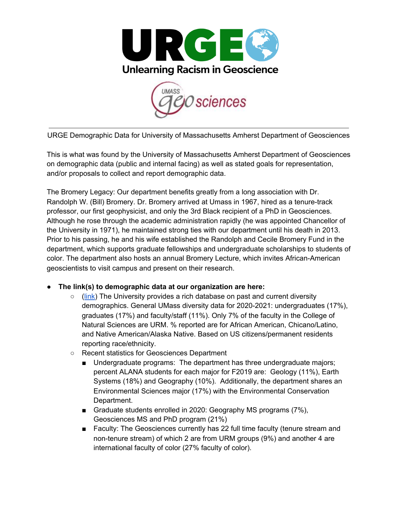



URGE Demographic Data for University of Massachusetts Amherst Department of Geosciences

This is what was found by the University of Massachusetts Amherst Department of Geosciences on demographic data (public and internal facing) as well as stated goals for representation, and/or proposals to collect and report demographic data.

The Bromery Legacy: Our department benefits greatly from a long association with Dr. Randolph W. (Bill) Bromery. Dr. Bromery arrived at Umass in 1967, hired as a tenure-track professor, our first geophysicist, and only the 3rd Black recipient of a PhD in Geosciences. Although he rose through the academic administration rapidly (he was appointed Chancellor of the University in 1971), he maintained strong ties with our department until his death in 2013. Prior to his passing, he and his wife established the Randolph and Cecile Bromery Fund in the department, which supports graduate fellowships and undergraduate scholarships to students of color. The department also hosts an annual Bromery Lecture, which invites African-American geoscientists to visit campus and present on their research.

## **● The link(s) to demographic data at our organization are here:**

- ([link](https://www.umass.edu/oir/factbooks)) The University provides a rich database on past and current diversity demographics. General UMass diversity data for 2020-2021: undergraduates (17%), graduates (17%) and faculty/staff (11%). Only 7% of the faculty in the College of Natural Sciences are URM. % reported are for African American, Chicano/Latino, and Native American/Alaska Native. Based on US citizens/permanent residents reporting race/ethnicity.
- Recent statistics for Geosciences Department
	- Undergraduate programs: The department has three undergraduate majors; percent ALANA students for each major for F2019 are: Geology (11%), Earth Systems (18%) and Geography (10%). Additionally, the department shares an Environmental Sciences major (17%) with the Environmental Conservation Department.
	- Graduate students enrolled in 2020: Geography MS programs (7%), Geosciences MS and PhD program (21%)
	- Faculty: The Geosciences currently has 22 full time faculty (tenure stream and non-tenure stream) of which 2 are from URM groups (9%) and another 4 are international faculty of color (27% faculty of color).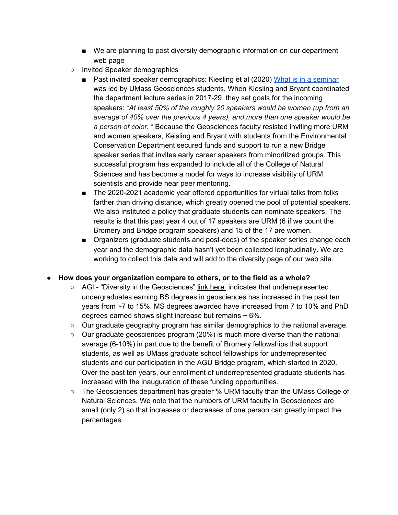- We are planning to post diversity demographic information on our department web page
- Invited Speaker demographics
	- Past invited speaker demographics: Kiesling et al (2020) What is in a [seminar](https://eos.org/opinions/whats-in-a-seminar) was led by UMass Geosciences students. When Kiesling and Bryant coordinated the department lecture series in 2017-29, they set goals for the incoming speakers: "*At least 50% of the roughly 20 speakers would be women (up from an average of 40% over the previous 4 years), and more than one speaker would be a person of color.* " Because the Geosciences faculty resisted inviting more URM and women speakers, Keisling and Bryant with students from the Environmental Conservation Department secured funds and support to run a new Bridge speaker series that invites early career speakers from minoritized groups. This successful program has expanded to include all of the College of Natural Sciences and has become a model for ways to increase visibility of URM scientists and provide near peer mentoring.
	- The 2020-2021 academic year offered opportunities for virtual talks from folks farther than driving distance, which greatly opened the pool of potential speakers. We also instituted a policy that graduate students can nominate speakers. The results is that this past year 4 out of 17 speakers are URM (6 if we count the Bromery and Bridge program speakers) and 15 of the 17 are women.
	- Organizers (graduate students and post-docs) of the speaker series change each year and the demographic data hasn't yet been collected longitudinally. We are working to collect this data and will add to the diversity page of our web site.

## **● How does your organization compare to others, or to the field as a whole?**

- AGI "Diversity in the Geosciences" link [here](https://www.americangeosciences.org/sites/default/files/DB_2020-023-DiversityInTheGeosciences.pdf) indicates that underrepresented undergraduates earning BS degrees in geosciences has increased in the past ten years from ~7 to 15%. MS degrees awarded have increased from 7 to 10% and PhD degrees earned shows slight increase but remains  $\sim 6\%$ .
- Our graduate geography program has similar demographics to the national average.
- $\circ$  Our graduate geosciences program (20%) is much more diverse than the national average (6-10%) in part due to the benefit of Bromery fellowships that support students, as well as UMass graduate school fellowships for underrepresented students and our participation in the AGU Bridge program, which started in 2020. Over the past ten years, our enrollment of underrepresented graduate students has increased with the inauguration of these funding opportunities.
- The Geosciences department has greater % URM faculty than the UMass College of Natural Sciences. We note that the numbers of URM faculty in Geosciences are small (only 2) so that increases or decreases of one person can greatly impact the percentages.